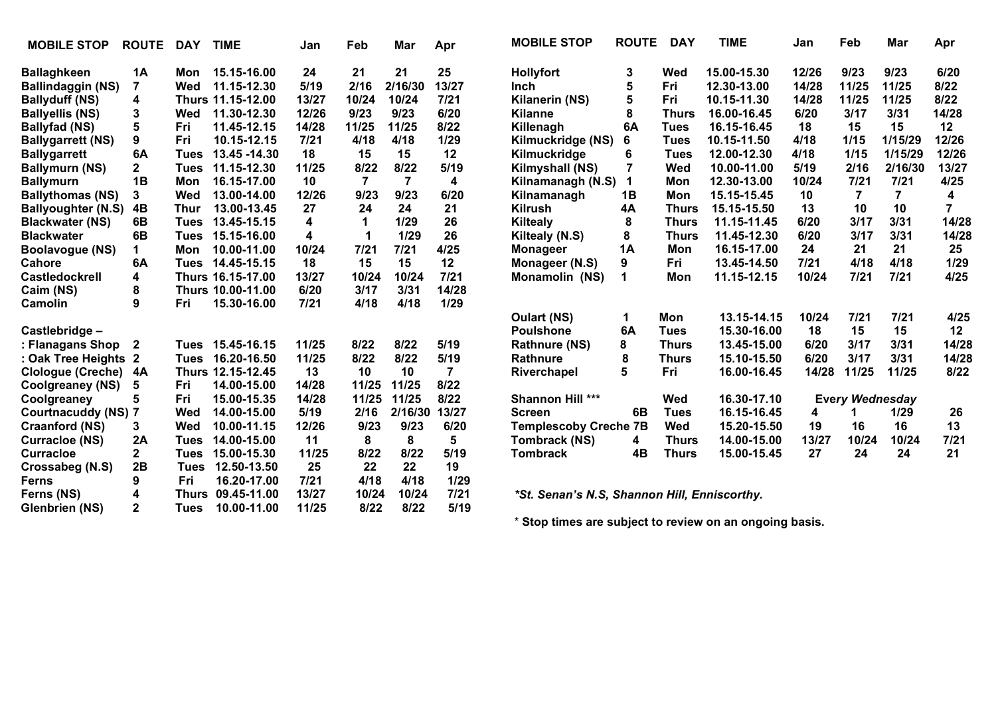| <b>MOBILE STOP</b>        | <b>ROUTE</b>   | <b>DAY</b>   | <b>TIME</b>       | Jan    | Feb            | Mar            | Apr    | <b>MOBILE STOP</b>                           | <b>ROUTE</b> | <b>DAY</b>   | <b>TIME</b> | Jan   | Feb                    | Mar            | Apr   |
|---------------------------|----------------|--------------|-------------------|--------|----------------|----------------|--------|----------------------------------------------|--------------|--------------|-------------|-------|------------------------|----------------|-------|
| <b>Ballaghkeen</b>        | <b>1A</b>      | Mon          | 15.15-16.00       | 24     | 21             | 21             | 25     | <b>Hollyfort</b>                             | 3            | Wed          | 15.00-15.30 | 12/26 | 9/23                   | 9/23           | 6/20  |
| <b>Ballindaggin (NS)</b>  | $\overline{7}$ | Wed          | 11.15-12.30       | 5/19   | 2/16           | 2/16/30        | 13/27  | <b>Inch</b>                                  | 5            | Fri          | 12.30-13.00 | 14/28 | 11/25                  | 11/25          | 8/22  |
| <b>Ballyduff (NS)</b>     | 4              |              | Thurs 11.15-12.00 | 13/27  | 10/24          | 10/24          | $7/21$ | Kilanerin (NS)                               | 5            | Fri          | 10.15-11.30 | 14/28 | 11/25                  | 11/25          | 8/22  |
| <b>Ballyellis (NS)</b>    | 3              | Wed          | 11.30-12.30       | 12/26  | 9/23           | 9/23           | 6/20   | <b>Kilanne</b>                               | 8            | <b>Thurs</b> | 16.00-16.45 | 6/20  | 3/17                   | 3/31           | 14/28 |
| <b>Ballyfad (NS)</b>      | 5              | Fri          | 11.45-12.15       | 14/28  | 11/25          | 11/25          | 8/22   | Killenagh                                    | 6A           | Tues         | 16.15-16.45 | 18    | 15                     | 15             | 12    |
| <b>Ballygarrett (NS)</b>  | 9              | Fri          | 10.15-12.15       | 7/21   | 4/18           | 4/18           | 1/29   | Kilmuckridge (NS)                            | 6            | <b>Tues</b>  | 10.15-11.50 | 4/18  | 1/15                   | 1/15/29        | 12/26 |
| <b>Ballygarrett</b>       | 6A             | <b>Tues</b>  | 13.45 - 14.30     | 18     | 15             | 15             | 12     | Kilmuckridge                                 | 6            | <b>Tues</b>  | 12.00-12.30 | 4/18  | 1/15                   | 1/15/29        | 12/26 |
| <b>Ballymurn (NS)</b>     | $\mathbf{2}$   | <b>Tues</b>  | 11.15-12.30       | 11/25  | 8/22           | 8/22           | 5/19   | Kilmyshall (NS)                              | 7            | Wed          | 10.00-11.00 | 5/19  | 2/16                   | 2/16/30        | 13/27 |
| <b>Ballymurn</b>          | 1B             | Mon          | 16.15-17.00       | 10     | $\overline{7}$ | $\overline{7}$ | 4      | Kilnamanagh (N.S)                            | 1            | Mon          | 12.30-13.00 | 10/24 | $7/21$                 | $7/21$         | 4/25  |
| <b>Ballythomas (NS)</b>   | 3              | Wed          | 13.00-14.00       | 12/26  | 9/23           | 9/23           | 6/20   | Kilnamanagh                                  | 1B           | Mon          | 15.15-15.45 | 10    | $\overline{7}$         | $\overline{7}$ | 4     |
| <b>Ballyoughter (N.S)</b> | 4B             | <b>Thur</b>  | 13.00-13.45       | 27     | 24             | 24             | 21     | <b>Kilrush</b>                               | 4A           | <b>Thurs</b> | 15.15-15.50 | 13    | 10                     | 10             |       |
| <b>Blackwater (NS)</b>    | 6B             | Tues         | 13.45-15.15       | 4      | 1              | 1/29           | 26     | Kiltealy                                     | 8            | <b>Thurs</b> | 11.15-11.45 | 6/20  | 3/17                   | 3/31           | 14/28 |
| <b>Blackwater</b>         | 6B             | Tues         | 15.15-16.00       | 4      | 1              | 1/29           | 26     | Kiltealy (N.S)                               | 8            | <b>Thurs</b> | 11.45-12.30 | 6/20  | 3/17                   | 3/31           | 14/28 |
| Boolavogue (NS)           | 1.             | Mon          | 10.00-11.00       | 10/24  | 7/21           | 7/21           | 4/25   | <b>Monageer</b>                              | 1Α           | Mon          | 16.15-17.00 | 24    | 21                     | 21             | 25    |
| Cahore                    | 6A             | Tues         | 14.45-15.15       | 18     | 15             | 15             | 12     | Monageer (N.S)                               | 9            | Fri          | 13.45-14.50 | 7/21  | 4/18                   | 4/18           | 1/29  |
| <b>Castledockrell</b>     | 4              |              | Thurs 16.15-17.00 | 13/27  | 10/24          | 10/24          | $7/21$ | Monamolin (NS)                               | 1            | Mon          | 11.15-12.15 | 10/24 | $7/21$                 | 7/21           | 4/25  |
| Caim (NS)                 | 8              |              | Thurs 10.00-11.00 | 6/20   | 3/17           | 3/31           | 14/28  |                                              |              |              |             |       |                        |                |       |
| Camolin                   | 9              | Fri          | 15.30-16.00       | $7/21$ | 4/18           | 4/18           | 1/29   |                                              |              |              |             |       |                        |                |       |
|                           |                |              |                   |        |                |                |        | Oulart (NS)                                  | 1            | Mon          | 13.15-14.15 | 10/24 | 7/21                   | 7/21           | 4/25  |
| Castlebridge-             |                |              |                   |        |                |                |        | <b>Poulshone</b>                             | 6A           | <b>Tues</b>  | 15.30-16.00 | 18    | 15                     | 15             | 12    |
| : Flanagans Shop          | 2              | Tues         | 15.45-16.15       | 11/25  | 8/22           | 8/22           | 5/19   | <b>Rathnure (NS)</b>                         | 8            | <b>Thurs</b> | 13.45-15.00 | 6/20  | 3/17                   | 3/31           | 14/28 |
| : Oak Tree Heights        | 2              | Tues         | 16.20-16.50       | 11/25  | 8/22           | 8/22           | 5/19   | Rathnure                                     | 8            | <b>Thurs</b> | 15.10-15.50 | 6/20  | 3/17                   | 3/31           | 14/28 |
| <b>Clologue (Creche)</b>  | 4A             |              | Thurs 12.15-12.45 | 13     | 10             | 10             | 7      | Riverchapel                                  | 5            | Fri          | 16.00-16.45 | 14/28 | 11/25                  | 11/25          | 8/22  |
| Coolgreaney (NS)          | 5              | Fri          | 14.00-15.00       | 14/28  | 11/25          | 11/25          | 8/22   |                                              |              |              |             |       |                        |                |       |
| Coolgreaney               | 5              | Fri          | 15.00-15.35       | 14/28  | 11/25          | 11/25          | 8/22   | Shannon Hill ***                             |              | Wed          | 16.30-17.10 |       | <b>Every Wednesday</b> |                |       |
| Courtnacuddy (NS) 7       |                | Wed          | 14.00-15.00       | 5/19   | 2/16           | 2/16/30        | 13/27  | <b>Screen</b>                                | 6B           | <b>Tues</b>  | 16.15-16.45 | 4     |                        | 1/29           | 26    |
| <b>Craanford (NS)</b>     | 3.             | Wed          | 10.00-11.15       | 12/26  | 9/23           | 9/23           | 6/20   | <b>Templescoby Creche 7B</b>                 |              | <b>Wed</b>   | 15.20-15.50 | 19    | 16                     | 16             | 13    |
| <b>Curracloe (NS)</b>     | 2A             | Tues         | 14.00-15.00       | 11     | 8              | 8              | 5      | <b>Tombrack (NS)</b>                         | 4            | <b>Thurs</b> | 14.00-15.00 | 13/27 | 10/24                  | 10/24          | 7/21  |
| <b>Curracloe</b>          | $\mathbf{2}$   | Tues         | 15.00-15.30       | 11/25  | 8/22           | 8/22           | 5/19   | <b>Tombrack</b>                              | 4B           | <b>Thurs</b> | 15.00-15.45 | 27    | 24                     | 24             | 21    |
| Crossabeg (N.S)           | 2B             | Tues         | 12.50-13.50       | 25     | 22             | 22             | 19     |                                              |              |              |             |       |                        |                |       |
| Ferns                     | 9              | Fri          | 16.20-17.00       | 7/21   | 4/18           | 4/18           | 1/29   |                                              |              |              |             |       |                        |                |       |
| Ferns (NS)                | 4              | <b>Thurs</b> | 09.45-11.00       | 13/27  | 10/24          | 10/24          | 7/21   | *St. Senan's N.S, Shannon Hill, Enniscorthy. |              |              |             |       |                        |                |       |
| <b>Glenbrien (NS)</b>     | $\mathbf{2}$   | <b>Tues</b>  | 10.00-11.00       | 11/25  | 8/22           | 8/22           | 5/19   |                                              |              |              |             |       |                        |                |       |

\* **Stop times are subject to review on an ongoing basis.**